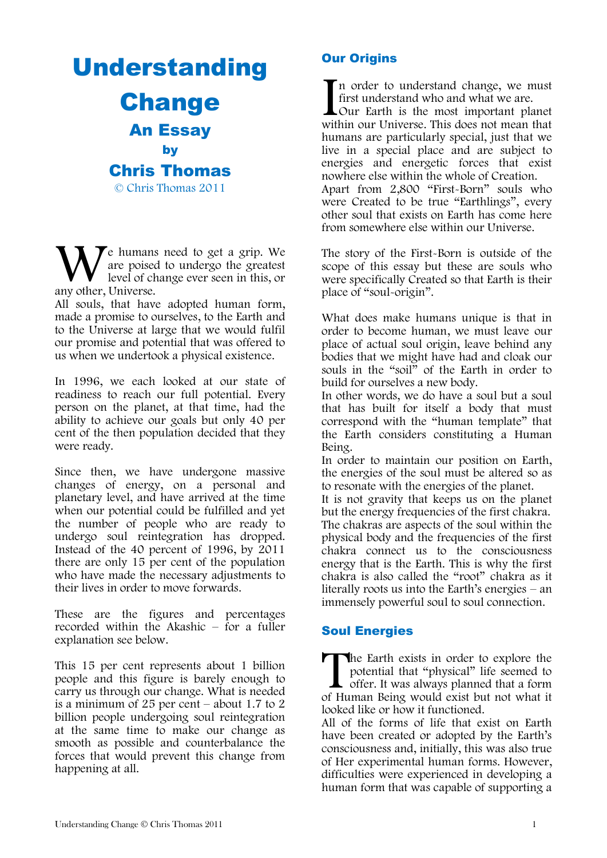Understanding Change An Essay by Chris Thomas © Chris Thomas 2011

 $\blacktriangledown$ e humans need to get a grip. We are poised to undergo the greatest level of change ever seen in this, or We human:<br>are poised<br>any other, Universe.

All souls, that have adopted human form, made a promise to ourselves, to the Earth and to the Universe at large that we would fulfil our promise and potential that was offered to us when we undertook a physical existence.

In 1996, we each looked at our state of readiness to reach our full potential. Every person on the planet, at that time, had the ability to achieve our goals but only 40 per cent of the then population decided that they were ready.

Since then, we have undergone massive changes of energy, on a personal and planetary level, and have arrived at the time when our potential could be fulfilled and yet the number of people who are ready to undergo soul reintegration has dropped. Instead of the 40 percent of 1996, by 2011 there are only 15 per cent of the population who have made the necessary adjustments to their lives in order to move forwards.

These are the figures and percentages recorded within the Akashic – for a fuller explanation see below.

This 15 per cent represents about 1 billion people and this figure is barely enough to carry us through our change. What is needed is a minimum of 25 per cent – about 1.7 to 2 billion people undergoing soul reintegration at the same time to make our change as smooth as possible and counterbalance the forces that would prevent this change from happening at all.

# Our Origins

n order to understand change, we must first understand who and what we are.

**L**Our Earth is the most important planet In order to understand change, we must<br>first understand who and what we are.<br>Our Earth is the most important planet<br>within our Universe. This does not mean that humans are particularly special, just that we live in a special place and are subject to energies and energetic forces that exist nowhere else within the whole of Creation. Apart from 2,800 "First-Born" souls who were Created to be true "Earthlings", every other soul that exists on Earth has come here from somewhere else within our Universe.

The story of the First-Born is outside of the scope of this essay but these are souls who were specifically Created so that Earth is their place of "soul-origin".

What does make humans unique is that in order to become human, we must leave our place of actual soul origin, leave behind any bodies that we might have had and cloak our souls in the "soil" of the Earth in order to build for ourselves a new body.

In other words, we do have a soul but a soul that has built for itself a body that must correspond with the "human template" that the Earth considers constituting a Human Being.

In order to maintain our position on Earth, the energies of the soul must be altered so as to resonate with the energies of the planet.

It is not gravity that keeps us on the planet but the energy frequencies of the first chakra. The chakras are aspects of the soul within the physical body and the frequencies of the first chakra connect us to the consciousness energy that is the Earth. This is why the first chakra is also called the "root" chakra as it literally roots us into the Earth's energies – an immensely powerful soul to soul connection.

## Soul Energies

The Earth exists in order to explore the potential that "physical" life seemed to offer. It was always planned that a form of Human Being would exist but not what it potential that "physical" life seemed to offer. It was always planned that a form of Human Being would exist but not what it looked like or how it functioned.

All of the forms of life that exist on Earth have been created or adopted by the Earth's consciousness and, initially, this was also true of Her experimental human forms. However, difficulties were experienced in developing a human form that was capable of supporting a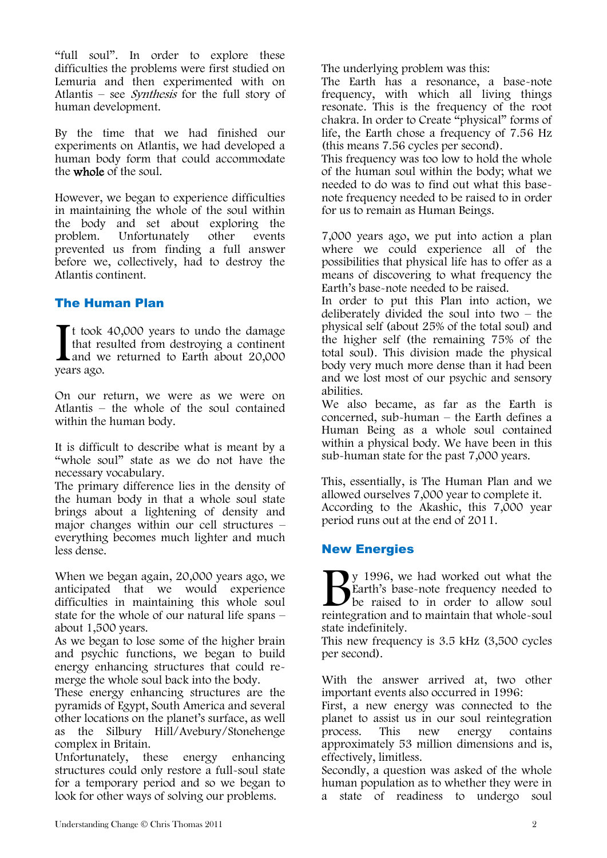"full soul". In order to explore these difficulties the problems were first studied on Lemuria and then experimented with on Atlantis – see Synthesis for the full story of human development.

By the time that we had finished our experiments on Atlantis, we had developed a human body form that could accommodate the whole of the soul.

However, we began to experience difficulties in maintaining the whole of the soul within the body and set about exploring the problem. Unfortunately other events prevented us from finding a full answer before we, collectively, had to destroy the Atlantis continent.

## The Human Plan

 $\blacksquare$  t took 40,000 years to undo the damage that resulted from destroying a continent **L** and we returned to Earth about 20,000 If took<br>that re<br>and w<br>years ago.

On our return, we were as we were on Atlantis – the whole of the soul contained within the human body.

It is difficult to describe what is meant by a "whole soul" state as we do not have the necessary vocabulary.

The primary difference lies in the density of the human body in that a whole soul state brings about a lightening of density and major changes within our cell structures – everything becomes much lighter and much less dense.

When we began again, 20,000 years ago, we anticipated that we would experience difficulties in maintaining this whole soul state for the whole of our natural life spans – about 1,500 years.

As we began to lose some of the higher brain and psychic functions, we began to build energy enhancing structures that could remerge the whole soul back into the body.

These energy enhancing structures are the pyramids of Egypt, South America and several other locations on the planet's surface, as well as the Silbury Hill/Avebury/Stonehenge complex in Britain.

Unfortunately, these energy enhancing structures could only restore a full-soul state for a temporary period and so we began to look for other ways of solving our problems.

The underlying problem was this:

The Earth has a resonance, a base-note frequency, with which all living things resonate. This is the frequency of the root chakra. In order to Create "physical" forms of life, the Earth chose a frequency of 7.56 Hz (this means 7.56 cycles per second).

This frequency was too low to hold the whole of the human soul within the body; what we needed to do was to find out what this basenote frequency needed to be raised to in order for us to remain as Human Beings.

7,000 years ago, we put into action a plan where we could experience all of the possibilities that physical life has to offer as a means of discovering to what frequency the Earth's base-note needed to be raised.

In order to put this Plan into action, we deliberately divided the soul into two – the physical self (about 25% of the total soul) and the higher self (the remaining 75% of the total soul). This division made the physical body very much more dense than it had been and we lost most of our psychic and sensory abilities.

We also became, as far as the Earth is concerned, sub-human – the Earth defines a Human Being as a whole soul contained within a physical body. We have been in this sub-human state for the past 7,000 years.

This, essentially, is The Human Plan and we allowed ourselves 7,000 year to complete it. According to the Akashic, this 7,000 year period runs out at the end of 2011.

## New Energies

y 1996, we had worked out what the Earth's base-note frequency needed to be raised to in order to allow soul **P**y 1996, we had worked out what the Earth's base-note frequency needed to be raised to in order to allow soul reintegration and to maintain that whole-soul state indefinitely.

This new frequency is 3.5 kHz (3,500 cycles per second).

With the answer arrived at, two other important events also occurred in 1996:

First, a new energy was connected to the planet to assist us in our soul reintegration process. This new energy contains approximately 53 million dimensions and is, effectively, limitless.

Secondly, a question was asked of the whole human population as to whether they were in a state of readiness to undergo soul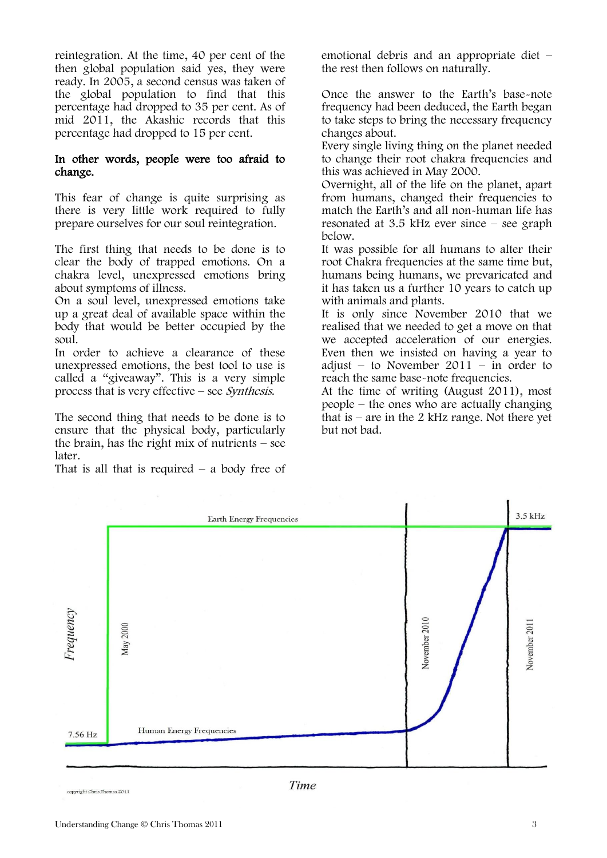reintegration. At the time, 40 per cent of the then global population said yes, they were ready. In 2005, a second census was taken of the global population to find that this percentage had dropped to 35 per cent. As of mid 2011, the Akashic records that this percentage had dropped to 15 per cent.

### In other words, people were too afraid to change.

This fear of change is quite surprising as there is very little work required to fully prepare ourselves for our soul reintegration.

The first thing that needs to be done is to clear the body of trapped emotions. On a chakra level, unexpressed emotions bring about symptoms of illness.

On a soul level, unexpressed emotions take up a great deal of available space within the body that would be better occupied by the soul.

In order to achieve a clearance of these unexpressed emotions, the best tool to use is called a "giveaway". This is a very simple process that is very effective – see Synthesis.

The second thing that needs to be done is to ensure that the physical body, particularly the brain, has the right mix of nutrients – see later.

That is all that is required  $-$  a body free of

emotional debris and an appropriate diet – the rest then follows on naturally.

Once the answer to the Earth's base-note frequency had been deduced, the Earth began to take steps to bring the necessary frequency changes about.

Every single living thing on the planet needed to change their root chakra frequencies and this was achieved in May 2000.

Overnight, all of the life on the planet, apart from humans, changed their frequencies to match the Earth's and all non-human life has resonated at 3.5 kHz ever since – see graph below.

It was possible for all humans to alter their root Chakra frequencies at the same time but, humans being humans, we prevaricated and it has taken us a further 10 years to catch up with animals and plants.

It is only since November 2010 that we realised that we needed to get a move on that we accepted acceleration of our energies. Even then we insisted on having a year to adjust – to November 2011 – in order to reach the same base-note frequencies.

At the time of writing (August 2011), most people – the ones who are actually changing that is – are in the 2 kHz range. Not there yet but not bad.



convright Chris Thomas 2011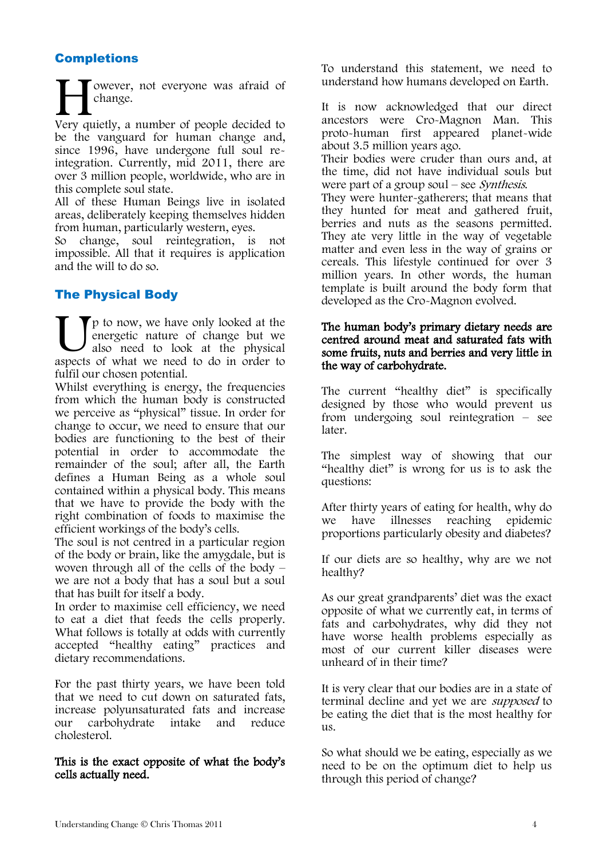## **Completions**

owever, not everyone was afraid of change. Wever, not everyone was afraid of<br>
change.<br>
Very quietly, a number of people decided to be the vanguard for human change and, since 1996, have undergone full soul reintegration. Currently, mid 2011, there are over 3 million people, worldwide, who are in

this complete soul state. All of these Human Beings live in isolated areas, deliberately keeping themselves hidden from human, particularly western, eyes.

So change, soul reintegration, is not impossible. All that it requires is application and the will to do so.

# The Physical Body

p to now, we have only looked at the energetic nature of change but we also need to look at the physical **I** p to now, we have only looked at the energetic nature of change but we also need to look at the physical aspects of what we need to do in order to fulfil our chosen potential.

Whilst everything is energy, the frequencies from which the human body is constructed we perceive as "physical" tissue. In order for change to occur, we need to ensure that our bodies are functioning to the best of their potential in order to accommodate the remainder of the soul; after all, the Earth defines a Human Being as a whole soul contained within a physical body. This means that we have to provide the body with the right combination of foods to maximise the efficient workings of the body's cells.

The soul is not centred in a particular region of the body or brain, like the amygdale, but is woven through all of the cells of the body – we are not a body that has a soul but a soul that has built for itself a body.

In order to maximise cell efficiency, we need to eat a diet that feeds the cells properly. What follows is totally at odds with currently accepted "healthy eating" practices and dietary recommendations.

For the past thirty years, we have been told that we need to cut down on saturated fats, increase polyunsaturated fats and increase carbohydrate intake and cholesterol.

### This is the exact opposite of what the body's cells actually need.

To understand this statement, we need to understand how humans developed on Earth.

It is now acknowledged that our direct ancestors were Cro-Magnon Man. This proto-human first appeared planet-wide about 3.5 million years ago.

Their bodies were cruder than ours and, at the time, did not have individual souls but were part of a group soul – see *Synthesis*.

They were hunter-gatherers; that means that they hunted for meat and gathered fruit, berries and nuts as the seasons permitted. They ate very little in the way of vegetable matter and even less in the way of grains or cereals. This lifestyle continued for over 3 million years. In other words, the human template is built around the body form that developed as the Cro-Magnon evolved.

#### The human body's primary dietary needs are centred around meat and saturated fats with some fruits, nuts and berries and very little in the way of carbohydrate.

The current "healthy diet" is specifically designed by those who would prevent us from undergoing soul reintegration – see later.

The simplest way of showing that our "healthy diet" is wrong for us is to ask the questions:

After thirty years of eating for health, why do<br>we have illnesses reaching epidemic we have illnesses reaching proportions particularly obesity and diabetes?

If our diets are so healthy, why are we not healthy?

As our great grandparents' diet was the exact opposite of what we currently eat, in terms of fats and carbohydrates, why did they not have worse health problems especially as most of our current killer diseases were unheard of in their time?

It is very clear that our bodies are in a state of terminal decline and yet we are supposed to be eating the diet that is the most healthy for us.

So what should we be eating, especially as we need to be on the optimum diet to help us through this period of change?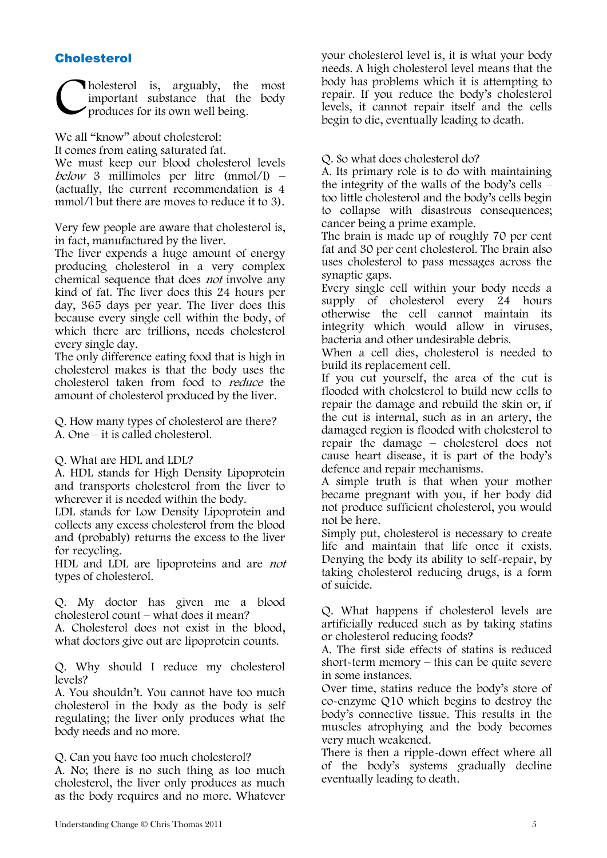## **Cholesterol**

holesterol is, arguably, the most important substance that the body produces for its own well being. C

We all "know" about cholesterol:

It comes from eating saturated fat.

We must keep our blood cholesterol levels below 3 millimoles per litre  $(mmol/l)$  – (actually, the current recommendation is 4 mmol/l but there are moves to reduce it to 3).

Very few people are aware that cholesterol is, in fact, manufactured by the liver.

The liver expends a huge amount of energy producing cholesterol in a very complex chemical sequence that does not involve any kind of fat. The liver does this 24 hours per day, 365 days per year. The liver does this because every single cell within the body, of which there are trillions, needs cholesterol every single day.

The only difference eating food that is high in cholesterol makes is that the body uses the cholesterol taken from food to reduce the amount of cholesterol produced by the liver.

Q. How many types of cholesterol are there? A. One – it is called cholesterol.

#### Q. What are HDL and LDL?

A. HDL stands for High Density Lipoprotein and transports cholesterol from the liver to wherever it is needed within the body.

LDL stands for Low Density Lipoprotein and collects any excess cholesterol from the blood and (probably) returns the excess to the liver for recycling.

HDL and LDL are lipoproteins and are not types of cholesterol.

Q. My doctor has given me a blood cholesterol count – what does it mean?

A. Cholesterol does not exist in the blood, what doctors give out are lipoprotein counts.

Q. Why should I reduce my cholesterol levels?

A. You shouldn't. You cannot have too much cholesterol in the body as the body is self regulating; the liver only produces what the body needs and no more.

Q. Can you have too much cholesterol?

A. No; there is no such thing as too much cholesterol, the liver only produces as much as the body requires and no more. Whatever your cholesterol level is, it is what your body needs. A high cholesterol level means that the body has problems which it is attempting to repair. If you reduce the body's cholesterol levels, it cannot repair itself and the cells begin to die, eventually leading to death.

#### Q. So what does cholesterol do?

A. Its primary role is to do with maintaining the integrity of the walls of the body's cells – too little cholesterol and the body's cells begin to collapse with disastrous consequences; cancer being a prime example.

The brain is made up of roughly 70 per cent fat and 30 per cent cholesterol. The brain also uses cholesterol to pass messages across the synaptic gaps.

Every single cell within your body needs a supply of cholesterol every 24 hours otherwise the cell cannot maintain its integrity which would allow in viruses, bacteria and other undesirable debris.

When a cell dies, cholesterol is needed to build its replacement cell.

If you cut yourself, the area of the cut is flooded with cholesterol to build new cells to repair the damage and rebuild the skin or, if the cut is internal, such as in an artery, the damaged region is flooded with cholesterol to repair the damage – cholesterol does not cause heart disease, it is part of the body's defence and repair mechanisms.

A simple truth is that when your mother became pregnant with you, if her body did not produce sufficient cholesterol, you would not be here.

Simply put, cholesterol is necessary to create life and maintain that life once it exists. Denying the body its ability to self-repair, by taking cholesterol reducing drugs, is a form of suicide.

Q. What happens if cholesterol levels are artificially reduced such as by taking statins or cholesterol reducing foods?

A. The first side effects of statins is reduced short-term memory – this can be quite severe in some instances.

Over time, statins reduce the body's store of co-enzyme Q10 which begins to destroy the body's connective tissue. This results in the muscles atrophying and the body becomes very much weakened.

There is then a ripple-down effect where all of the body's systems gradually decline eventually leading to death.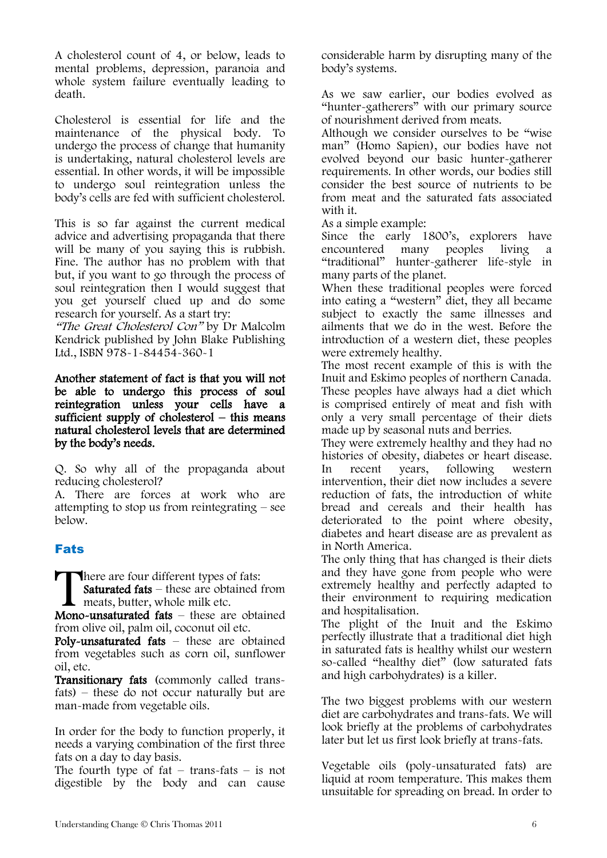A cholesterol count of 4, or below, leads to mental problems, depression, paranoia and whole system failure eventually leading to death.

Cholesterol is essential for life and the maintenance of the physical body. To undergo the process of change that humanity is undertaking, natural cholesterol levels are essential. In other words, it will be impossible to undergo soul reintegration unless the body's cells are fed with sufficient cholesterol.

This is so far against the current medical advice and advertising propaganda that there will be many of you saying this is rubbish. Fine. The author has no problem with that but, if you want to go through the process of soul reintegration then I would suggest that you get yourself clued up and do some research for yourself. As a start try:

"The Great Cholesterol Con" by Dr Malcolm Kendrick published by John Blake Publishing Ltd., ISBN 978-1-84454-360-1

Another statement of fact is that you will not be able to undergo this process of soul reintegration unless your cells have a sufficient supply of cholesterol – this means natural cholesterol levels that are determined by the body's needs.

Q. So why all of the propaganda about reducing cholesterol?

A. There are forces at work who are attempting to stop us from reintegrating – see below.

# Fats

**There are four different types of fats:** 

Saturated fats – these are obtained from meats, butter, whole milk etc. There are four different types of fats:<br> **Saturated fats** – these are obtained from<br>
meats, butter, whole milk etc.<br>
Mono-unsaturated fats – these are obtained

from olive oil, palm oil, coconut oil etc.

Poly-unsaturated fats – these are obtained from vegetables such as corn oil, sunflower oil, etc.

Transitionary fats (commonly called transfats) – these do not occur naturally but are man-made from vegetable oils.

In order for the body to function properly, it needs a varying combination of the first three fats on a day to day basis.

The fourth type of  $fat - trans-fats - is not$ digestible by the body and can cause

considerable harm by disrupting many of the body's systems.

As we saw earlier, our bodies evolved as "hunter-gatherers" with our primary source of nourishment derived from meats.

Although we consider ourselves to be "wise man" (Homo Sapien), our bodies have not evolved beyond our basic hunter-gatherer requirements. In other words, our bodies still consider the best source of nutrients to be from meat and the saturated fats associated with it.

As a simple example:

Since the early 1800's, explorers have encountered many peoples living a "traditional" hunter-gatherer life-style in many parts of the planet.

When these traditional peoples were forced into eating a "western" diet, they all became subject to exactly the same illnesses and ailments that we do in the west. Before the introduction of a western diet, these peoples were extremely healthy.

The most recent example of this is with the Inuit and Eskimo peoples of northern Canada. These peoples have always had a diet which is comprised entirely of meat and fish with only a very small percentage of their diets made up by seasonal nuts and berries.

They were extremely healthy and they had no histories of obesity, diabetes or heart disease. In recent years, following western intervention, their diet now includes a severe reduction of fats, the introduction of white bread and cereals and their health has deteriorated to the point where obesity, diabetes and heart disease are as prevalent as in North America.

The only thing that has changed is their diets and they have gone from people who were extremely healthy and perfectly adapted to their environment to requiring medication and hospitalisation.

The plight of the Inuit and the Eskimo perfectly illustrate that a traditional diet high in saturated fats is healthy whilst our western so-called "healthy diet" (low saturated fats and high carbohydrates) is a killer.

The two biggest problems with our western diet are carbohydrates and trans-fats. We will look briefly at the problems of carbohydrates later but let us first look briefly at trans-fats.

Vegetable oils (poly-unsaturated fats) are liquid at room temperature. This makes them unsuitable for spreading on bread. In order to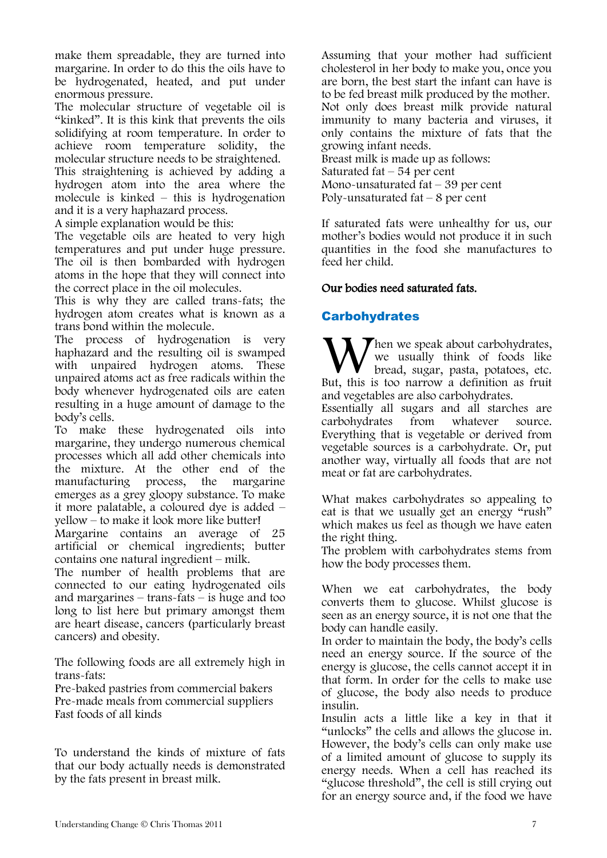make them spreadable, they are turned into margarine. In order to do this the oils have to be hydrogenated, heated, and put under enormous pressure.

The molecular structure of vegetable oil is "kinked". It is this kink that prevents the oils solidifying at room temperature. In order to achieve room temperature solidity, the molecular structure needs to be straightened. This straightening is achieved by adding a hydrogen atom into the area where the molecule is kinked – this is hydrogenation and it is a very haphazard process.

A simple explanation would be this:

The vegetable oils are heated to very high temperatures and put under huge pressure. The oil is then bombarded with hydrogen atoms in the hope that they will connect into the correct place in the oil molecules.

This is why they are called trans-fats; the hydrogen atom creates what is known as a trans bond within the molecule.

The process of hydrogenation is very haphazard and the resulting oil is swamped with unpaired hydrogen atoms. These unpaired atoms act as free radicals within the body whenever hydrogenated oils are eaten resulting in a huge amount of damage to the body's cells.

To make these hydrogenated oils into margarine, they undergo numerous chemical processes which all add other chemicals into the mixture. At the other end of the manufacturing process, the margarine manufacturing process, the emerges as a grey gloopy substance. To make it more palatable, a coloured dye is added – yellow – to make it look more like butter!

Margarine contains an average of 25 artificial or chemical ingredients; butter contains one natural ingredient – milk.

The number of health problems that are connected to our eating hydrogenated oils and margarines – trans-fats – is huge and too long to list here but primary amongst them are heart disease, cancers (particularly breast cancers) and obesity.

The following foods are all extremely high in trans-fats:

Pre-baked pastries from commercial bakers Pre-made meals from commercial suppliers Fast foods of all kinds

To understand the kinds of mixture of fats that our body actually needs is demonstrated by the fats present in breast milk.

Assuming that your mother had sufficient cholesterol in her body to make you, once you are born, the best start the infant can have is to be fed breast milk produced by the mother. Not only does breast milk provide natural immunity to many bacteria and viruses, it only contains the mixture of fats that the growing infant needs.

Breast milk is made up as follows: Saturated fat  $-54$  per cent Mono-unsaturated fat – 39 per cent Poly-unsaturated  $fat - 8$  per cent

If saturated fats were unhealthy for us, our mother's bodies would not produce it in such quantities in the food she manufactures to feed her child.

### Our bodies need saturated fats.

## **Carbohydrates**

 $\blacktriangledown$  hen we speak about carbohydrates, we usually think of foods like bread, sugar, pasta, potatoes, etc. When we speak about carbohydrates, we usually think of foods like bread, sugar, pasta, potatoes, etc. But, this is too narrow a definition as fruit and vegetables are also carbohydrates.

Essentially all sugars and all starches are carbohydrates from whatever source. Everything that is vegetable or derived from vegetable sources is a carbohydrate. Or, put another way, virtually all foods that are not meat or fat are carbohydrates.

What makes carbohydrates so appealing to eat is that we usually get an energy "rush" which makes us feel as though we have eaten the right thing.

The problem with carbohydrates stems from how the body processes them.

When we eat carbohydrates, the body converts them to glucose. Whilst glucose is seen as an energy source, it is not one that the body can handle easily.

In order to maintain the body, the body's cells need an energy source. If the source of the energy is glucose, the cells cannot accept it in that form. In order for the cells to make use of glucose, the body also needs to produce insulin.

Insulin acts a little like a key in that it "unlocks" the cells and allows the glucose in. However, the body's cells can only make use of a limited amount of glucose to supply its energy needs. When a cell has reached its "glucose threshold", the cell is still crying out for an energy source and, if the food we have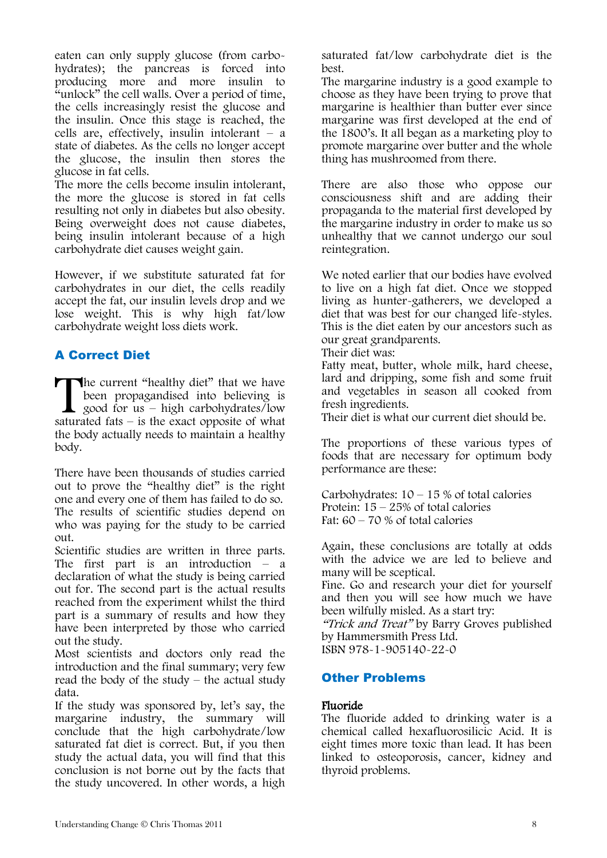eaten can only supply glucose (from carbohydrates); the pancreas is forced into producing more and more insulin to  $\alpha$ <sup>u</sup>unlock" the cell walls. Over a period of time, the cells increasingly resist the glucose and the insulin. Once this stage is reached, the cells are, effectively, insulin intolerant  $-$  a state of diabetes. As the cells no longer accept the glucose, the insulin then stores the glucose in fat cells.

The more the cells become insulin intolerant, the more the glucose is stored in fat cells resulting not only in diabetes but also obesity. Being overweight does not cause diabetes, being insulin intolerant because of a high carbohydrate diet causes weight gain.

However, if we substitute saturated fat for carbohydrates in our diet, the cells readily accept the fat, our insulin levels drop and we lose weight. This is why high fat/low carbohydrate weight loss diets work.

# A Correct Diet

The current "healthy diet" that we have been propagandised into believing is good for  $us - high$  carbohydrates/low The current "healthy diet" that we have<br>been propagandised into believing is<br>good for us – high carbohydrates/low<br>saturated fats – is the exact opposite of what the body actually needs to maintain a healthy body.

There have been thousands of studies carried out to prove the "healthy diet" is the right one and every one of them has failed to do so. The results of scientific studies depend on who was paying for the study to be carried out.

Scientific studies are written in three parts. The first part is an introduction  $-$  a declaration of what the study is being carried out for. The second part is the actual results reached from the experiment whilst the third part is a summary of results and how they have been interpreted by those who carried out the study.

Most scientists and doctors only read the introduction and the final summary; very few read the body of the study  $-$  the actual study data.

If the study was sponsored by, let's say, the margarine industry, the summary will conclude that the high carbohydrate/low saturated fat diet is correct. But, if you then study the actual data, you will find that this conclusion is not borne out by the facts that the study uncovered. In other words, a high

saturated fat/low carbohydrate diet is the best.

The margarine industry is a good example to choose as they have been trying to prove that margarine is healthier than butter ever since margarine was first developed at the end of the 1800's. It all began as a marketing ploy to promote margarine over butter and the whole thing has mushroomed from there.

There are also those who oppose our consciousness shift and are adding their propaganda to the material first developed by the margarine industry in order to make us so unhealthy that we cannot undergo our soul reintegration.

We noted earlier that our bodies have evolved to live on a high fat diet. Once we stopped living as hunter-gatherers, we developed a diet that was best for our changed life-styles. This is the diet eaten by our ancestors such as our great grandparents.

Their diet was:

Fatty meat, butter, whole milk, hard cheese, lard and dripping, some fish and some fruit and vegetables in season all cooked from fresh ingredients.

Their diet is what our current diet should be.

The proportions of these various types of foods that are necessary for optimum body performance are these:

Carbohydrates:  $10 - 15$  % of total calories Protein: 15 – 25% of total calories Fat:  $60 - 70$  % of total calories

Again, these conclusions are totally at odds with the advice we are led to believe and many will be sceptical.

Fine. Go and research your diet for yourself and then you will see how much we have been wilfully misled. As a start try:

"Trick and Treat" by Barry Groves published by Hammersmith Press Ltd.

ISBN 978-1-905140-22-0

## Other Problems

### Fluoride

The fluoride added to drinking water is a chemical called hexafluorosilicic Acid. It is eight times more toxic than lead. It has been linked to osteoporosis, cancer, kidney and thyroid problems.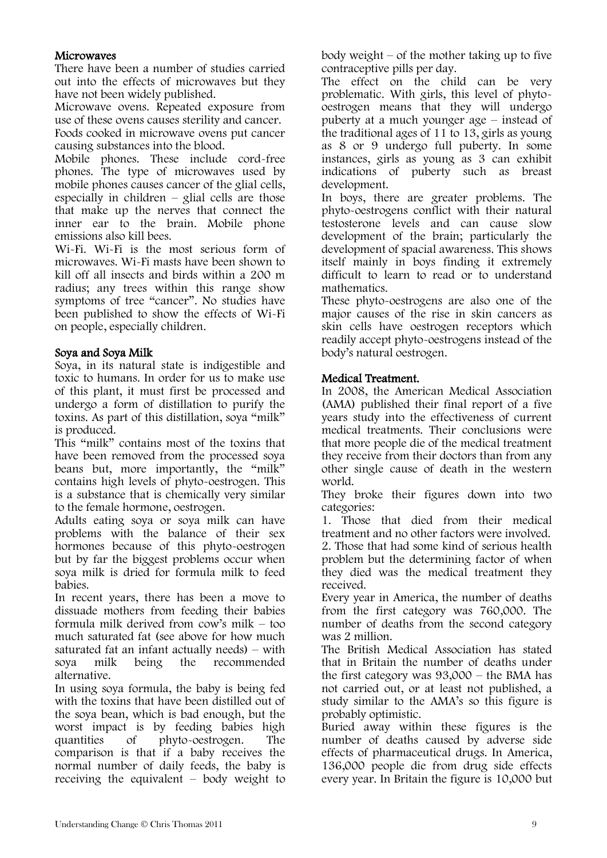### **Microwaves**

There have been a number of studies carried out into the effects of microwaves but they have not been widely published.

Microwave ovens. Repeated exposure from use of these ovens causes sterility and cancer. Foods cooked in microwave ovens put cancer causing substances into the blood.

Mobile phones. These include cord-free phones. The type of microwaves used by mobile phones causes cancer of the glial cells, especially in children  $-$  glial cells are those that make up the nerves that connect the inner ear to the brain. Mobile phone emissions also kill bees.

Wi-Fi. Wi-Fi is the most serious form of microwaves. Wi-Fi masts have been shown to kill off all insects and birds within a 200 m radius; any trees within this range show symptoms of tree "cancer". No studies have been published to show the effects of Wi-Fi on people, especially children.

### Soya and Soya Milk

Soya, in its natural state is indigestible and toxic to humans. In order for us to make use of this plant, it must first be processed and undergo a form of distillation to purify the toxins. As part of this distillation, soya "milk" is produced.

This "milk" contains most of the toxins that have been removed from the processed soya beans but, more importantly, the "milk" contains high levels of phyto-oestrogen. This is a substance that is chemically very similar to the female hormone, oestrogen.

Adults eating soya or soya milk can have problems with the balance of their sex hormones because of this phyto-oestrogen but by far the biggest problems occur when soya milk is dried for formula milk to feed babies.

In recent years, there has been a move to dissuade mothers from feeding their babies formula milk derived from cow's milk – too much saturated fat (see above for how much saturated fat an infant actually needs) – with<br>soya milk being the recommended soya milk being the recommended alternative.

In using soya formula, the baby is being fed with the toxins that have been distilled out of the soya bean, which is bad enough, but the worst impact is by feeding babies high quantities of phyto-oestrogen. The comparison is that if a baby receives the normal number of daily feeds, the baby is receiving the equivalent – body weight to body weight – of the mother taking up to five contraceptive pills per day.

The effect on the child can be very problematic. With girls, this level of phytooestrogen means that they will undergo puberty at a much younger age – instead of the traditional ages of 11 to 13, girls as young as 8 or 9 undergo full puberty. In some instances, girls as young as 3 can exhibit indications of puberty such as breast development.

In boys, there are greater problems. The phyto-oestrogens conflict with their natural testosterone levels and can cause slow development of the brain; particularly the development of spacial awareness. This shows itself mainly in boys finding it extremely difficult to learn to read or to understand mathematics.

These phyto-oestrogens are also one of the major causes of the rise in skin cancers as skin cells have oestrogen receptors which readily accept phyto-oestrogens instead of the body's natural oestrogen.

### Medical Treatment.

In 2008, the American Medical Association (AMA) published their final report of a five years study into the effectiveness of current medical treatments. Their conclusions were that more people die of the medical treatment they receive from their doctors than from any other single cause of death in the western world.

They broke their figures down into two categories:

1. Those that died from their medical treatment and no other factors were involved. 2. Those that had some kind of serious health problem but the determining factor of when they died was the medical treatment they received.

Every year in America, the number of deaths from the first category was 760,000. The number of deaths from the second category was 2 million.

The British Medical Association has stated that in Britain the number of deaths under the first category was 93,000 – the BMA has not carried out, or at least not published, a study similar to the AMA's so this figure is probably optimistic.

Buried away within these figures is the number of deaths caused by adverse side effects of pharmaceutical drugs. In America, 136,000 people die from drug side effects every year. In Britain the figure is 10,000 but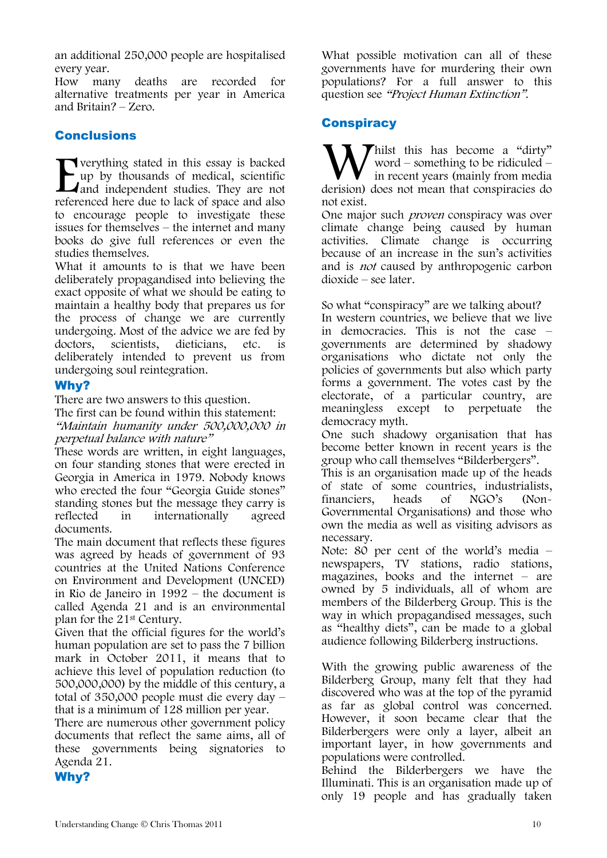an additional 250,000 people are hospitalised every year.

How many deaths are recorded for alternative treatments per year in America and Britain? – Zero.

# Conclusions

verything stated in this essay is backed up by thousands of medical, scientific and independent studies. They are not referenced here due to lack of space and also to encourage people to investigate these issues for themselves – the internet and many books do give full references or even the studies themselves. **Example 18 Server Server Server Server Server Server Server Server Server Server Server Server Server Server Server Server Server Server Server Server Server Server Server Server Server Server Server Server Server Server** 

What it amounts to is that we have been deliberately propagandised into believing the exact opposite of what we should be eating to maintain a healthy body that prepares us for the process of change we are currently undergoing. Most of the advice we are fed by doctors, scientists, dieticians, etc. is deliberately intended to prevent us from undergoing soul reintegration.

## Why?

There are two answers to this question.

The first can be found within this statement: "Maintain humanity under 500,000,000 in perpetual balance with nature"

These words are written, in eight languages, on four standing stones that were erected in Georgia in America in 1979. Nobody knows who erected the four "Georgia Guide stones" standing stones but the message they carry is reflected in internationally agreed documents.

The main document that reflects these figures was agreed by heads of government of 93 countries at the United Nations Conference on Environment and Development (UNCED) in Rio de Janeiro in 1992 – the document is called Agenda 21 and is an environmental plan for the 21st Century.

Given that the official figures for the world's human population are set to pass the 7 billion mark in October 2011, it means that to achieve this level of population reduction (to 500,000,000) by the middle of this century, a total of 350,000 people must die every day – that is a minimum of 128 million per year.

There are numerous other government policy documents that reflect the same aims, all of these governments being signatories to Agenda 21.

Why?

What possible motivation can all of these governments have for murdering their own populations? For a full answer to this question see "Project Human Extinction".

# **Conspiracy**

Thilst this has become a "dirty" word – something to be ridiculed – in recent years (mainly from media derision) does not mean that conspiracies do not exist.

One major such *proven* conspiracy was over climate change being caused by human activities. Climate change is occurring because of an increase in the sun's activities and is not caused by anthropogenic carbon dioxide – see later.

So what "conspiracy" are we talking about? In western countries, we believe that we live in democracies. This is not the case – governments are determined by shadowy organisations who dictate not only the policies of governments but also which party forms a government. The votes cast by the electorate, of a particular country, are meaningless except to perpetuate the democracy myth.

One such shadowy organisation that has become better known in recent years is the group who call themselves "Bilderbergers".

This is an organisation made up of the heads of state of some countries, industrialists,<br>financiers, heads of NGO's (Nonfinanciers, heads of NGO's (Non-Governmental Organisations) and those who own the media as well as visiting advisors as necessary.

Note: 80 per cent of the world's media – newspapers, TV stations, radio stations, magazines, books and the internet – are owned by 5 individuals, all of whom are members of the Bilderberg Group. This is the way in which propagandised messages, such as "healthy diets", can be made to a global audience following Bilderberg instructions.

With the growing public awareness of the Bilderberg Group, many felt that they had discovered who was at the top of the pyramid as far as global control was concerned. However, it soon became clear that the Bilderbergers were only a layer, albeit an important layer, in how governments and populations were controlled.

Behind the Bilderbergers we have the Illuminati. This is an organisation made up of only 19 people and has gradually taken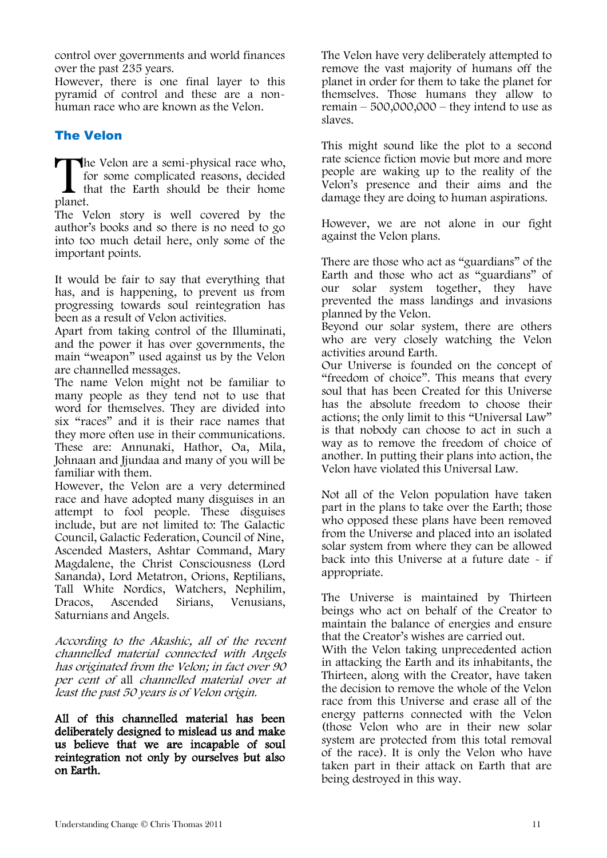control over governments and world finances over the past 235 years.

However, there is one final layer to this pyramid of control and these are a nonhuman race who are known as the Velon.

# The Velon

The Velon are a semi-physical race who, for some complicated reasons, decided that the Earth should be their home planet. for some complicated reasons, decided that the Earth should be their home planet.

The Velon story is well covered by the author's books and so there is no need to go into too much detail here, only some of the important points.

It would be fair to say that everything that has, and is happening, to prevent us from progressing towards soul reintegration has been as a result of Velon activities.

Apart from taking control of the Illuminati, and the power it has over governments, the main "weapon" used against us by the Velon are channelled messages.

The name Velon might not be familiar to many people as they tend not to use that word for themselves. They are divided into six "races" and it is their race names that they more often use in their communications. These are: Annunaki, Hathor, Oa, Mila, Johnaan and Jjundaa and many of you will be familiar with them.

However, the Velon are a very determined race and have adopted many disguises in an attempt to fool people. These disguises include, but are not limited to: The Galactic Council, Galactic Federation, Council of Nine, Ascended Masters, Ashtar Command, Mary Magdalene, the Christ Consciousness (Lord Sananda), Lord Metatron, Orions, Reptilians, Tall White Nordics, Watchers, Nephilim, Dracos, Ascended Sirians, Venusians, Saturnians and Angels.

According to the Akashic, all of the recent channelled material connected with Angels has originated from the Velon; in fact over 90 per cent of all channelled material over at least the past 50 years is of Velon origin.

All of this channelled material has been deliberately designed to mislead us and make us believe that we are incapable of soul reintegration not only by ourselves but also on Earth.

The Velon have very deliberately attempted to remove the vast majority of humans off the planet in order for them to take the planet for themselves. Those humans they allow to remain – 500,000,000 – they intend to use as slaves.

This might sound like the plot to a second rate science fiction movie but more and more people are waking up to the reality of the Velon's presence and their aims and the damage they are doing to human aspirations.

However, we are not alone in our fight against the Velon plans.

There are those who act as "guardians" of the Earth and those who act as "guardians" of our solar system together, they have prevented the mass landings and invasions planned by the Velon.

Beyond our solar system, there are others who are very closely watching the Velon activities around Earth.

Our Universe is founded on the concept of "freedom of choice". This means that every soul that has been Created for this Universe has the absolute freedom to choose their actions; the only limit to this "Universal Law" is that nobody can choose to act in such a way as to remove the freedom of choice of another. In putting their plans into action, the Velon have violated this Universal Law.

Not all of the Velon population have taken part in the plans to take over the Earth; those who opposed these plans have been removed from the Universe and placed into an isolated solar system from where they can be allowed back into this Universe at a future date - if appropriate.

The Universe is maintained by Thirteen beings who act on behalf of the Creator to maintain the balance of energies and ensure that the Creator's wishes are carried out.

With the Velon taking unprecedented action in attacking the Earth and its inhabitants, the Thirteen, along with the Creator, have taken the decision to remove the whole of the Velon race from this Universe and erase all of the energy patterns connected with the Velon (those Velon who are in their new solar system are protected from this total removal of the race). It is only the Velon who have taken part in their attack on Earth that are being destroyed in this way.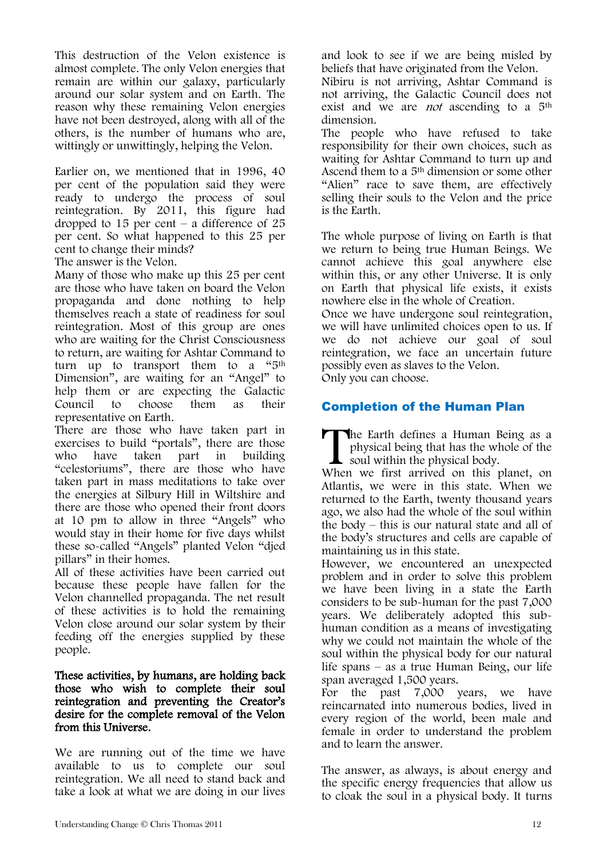This destruction of the Velon existence is almost complete. The only Velon energies that remain are within our galaxy, particularly around our solar system and on Earth. The reason why these remaining Velon energies have not been destroyed, along with all of the others, is the number of humans who are, wittingly or unwittingly, helping the Velon.

Earlier on, we mentioned that in 1996, 40 per cent of the population said they were ready to undergo the process of soul reintegration. By 2011, this figure had dropped to  $15$  per cent – a difference of  $25$ per cent. So what happened to this 25 per cent to change their minds?

The answer is the Velon.

Many of those who make up this 25 per cent are those who have taken on board the Velon propaganda and done nothing to help themselves reach a state of readiness for soul reintegration. Most of this group are ones who are waiting for the Christ Consciousness to return, are waiting for Ashtar Command to turn up to transport them to a "5<sup>th</sup> Dimension", are waiting for an "Angel" to help them or are expecting the Galactic Council to choose them as their representative on Earth.

There are those who have taken part in exercises to build "portals", there are those who have taken part in building "celestoriums", there are those who have taken part in mass meditations to take over the energies at Silbury Hill in Wiltshire and there are those who opened their front doors at 10 pm to allow in three "Angels" who would stay in their home for five days whilst these so-called "Angels" planted Velon "djed pillars" in their homes.

All of these activities have been carried out because these people have fallen for the Velon channelled propaganda. The net result of these activities is to hold the remaining Velon close around our solar system by their feeding off the energies supplied by these people.

#### These activities, by humans, are holding back those who wish to complete their soul reintegration and preventing the Creator's desire for the complete removal of the Velon from this Universe.

We are running out of the time we have available to us to complete our soul reintegration. We all need to stand back and take a look at what we are doing in our lives

and look to see if we are being misled by beliefs that have originated from the Velon.

Nibiru is not arriving, Ashtar Command is not arriving, the Galactic Council does not exist and we are *not* ascending to a 5<sup>th</sup> dimension.

The people who have refused to take responsibility for their own choices, such as waiting for Ashtar Command to turn up and Ascend them to a 5<sup>th</sup> dimension or some other "Alien" race to save them, are effectively selling their souls to the Velon and the price is the Earth.

The whole purpose of living on Earth is that we return to being true Human Beings. We cannot achieve this goal anywhere else within this, or any other Universe. It is only on Earth that physical life exists, it exists nowhere else in the whole of Creation.

Once we have undergone soul reintegration, we will have unlimited choices open to us. If we do not achieve our goal of soul reintegration, we face an uncertain future possibly even as slaves to the Velon.

Only you can choose.

# Completion of the Human Plan

**The Earth defines a Human Being as a** physical being that has the whole of the  $\blacktriangle$  soul within the physical body. The Earth defines a Human Being as a physical being that has the whole of the soul within the physical body.<br>When we first arrived on this planet, on

Atlantis, we were in this state. When we returned to the Earth, twenty thousand years ago, we also had the whole of the soul within the body – this is our natural state and all of the body's structures and cells are capable of maintaining us in this state.

However, we encountered an unexpected problem and in order to solve this problem we have been living in a state the Earth considers to be sub-human for the past 7,000 years. We deliberately adopted this subhuman condition as a means of investigating why we could not maintain the whole of the soul within the physical body for our natural life spans – as a true Human Being, our life span averaged 1,500 years.

For the past 7,000 years, we have reincarnated into numerous bodies, lived in every region of the world, been male and female in order to understand the problem and to learn the answer.

The answer, as always, is about energy and the specific energy frequencies that allow us to cloak the soul in a physical body. It turns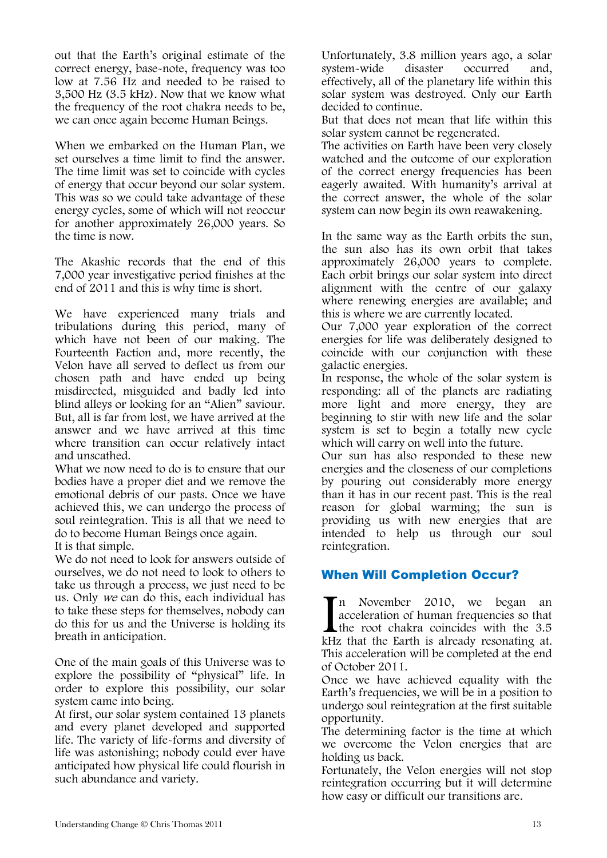out that the Earth's original estimate of the correct energy, base-note, frequency was too low at 7.56 Hz and needed to be raised to 3,500 Hz (3.5 kHz). Now that we know what the frequency of the root chakra needs to be, we can once again become Human Beings.

When we embarked on the Human Plan, we set ourselves a time limit to find the answer. The time limit was set to coincide with cycles of energy that occur beyond our solar system. This was so we could take advantage of these energy cycles, some of which will not reoccur for another approximately 26,000 years. So the time is now.

The Akashic records that the end of this 7,000 year investigative period finishes at the end of 2011 and this is why time is short.

We have experienced many trials and tribulations during this period, many of which have not been of our making. The Fourteenth Faction and, more recently, the Velon have all served to deflect us from our chosen path and have ended up being misdirected, misguided and badly led into blind alleys or looking for an "Alien" saviour. But, all is far from lost, we have arrived at the answer and we have arrived at this time where transition can occur relatively intact and unscathed.

What we now need to do is to ensure that our bodies have a proper diet and we remove the emotional debris of our pasts. Once we have achieved this, we can undergo the process of soul reintegration. This is all that we need to do to become Human Beings once again. It is that simple.

We do not need to look for answers outside of ourselves, we do not need to look to others to take us through a process, we just need to be us. Only we can do this, each individual has to take these steps for themselves, nobody can do this for us and the Universe is holding its breath in anticipation.

One of the main goals of this Universe was to explore the possibility of "physical" life. In order to explore this possibility, our solar system came into being.

At first, our solar system contained 13 planets and every planet developed and supported life. The variety of life-forms and diversity of life was astonishing; nobody could ever have anticipated how physical life could flourish in such abundance and variety.

Unfortunately, 3.8 million years ago, a solar system-wide disaster occurred and, effectively, all of the planetary life within this solar system was destroyed. Only our Earth decided to continue.

But that does not mean that life within this solar system cannot be regenerated.

The activities on Earth have been very closely watched and the outcome of our exploration of the correct energy frequencies has been eagerly awaited. With humanity's arrival at the correct answer, the whole of the solar system can now begin its own reawakening.

In the same way as the Earth orbits the sun, the sun also has its own orbit that takes approximately 26,000 years to complete. Each orbit brings our solar system into direct alignment with the centre of our galaxy where renewing energies are available; and this is where we are currently located.

Our 7,000 year exploration of the correct energies for life was deliberately designed to coincide with our conjunction with these galactic energies.

In response, the whole of the solar system is responding: all of the planets are radiating more light and more energy, they are beginning to stir with new life and the solar system is set to begin a totally new cycle which will carry on well into the future.

Our sun has also responded to these new energies and the closeness of our completions by pouring out considerably more energy than it has in our recent past. This is the real reason for global warming; the sun is providing us with new energies that are intended to help us through our soul reintegration.

# When Will Completion Occur?

n November 2010, we began an acceleration of human frequencies so that the root chakra coincides with the 3.5 In November 2010, we began an acceleration of human frequencies so that the root chakra coincides with the 3.5 kHz that the Earth is already resonating at. This acceleration will be completed at the end of October 2011.

Once we have achieved equality with the Earth's frequencies, we will be in a position to undergo soul reintegration at the first suitable opportunity.

The determining factor is the time at which we overcome the Velon energies that are holding us back.

Fortunately, the Velon energies will not stop reintegration occurring but it will determine how easy or difficult our transitions are.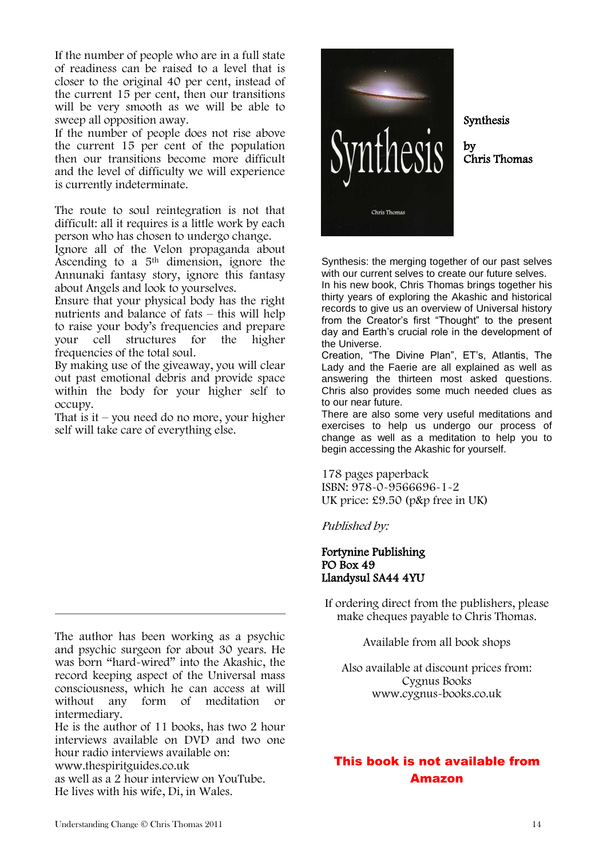If the number of people who are in a full state of readiness can be raised to a level that is closer to the original 40 per cent, instead of the current 15 per cent, then our transitions will be very smooth as we will be able to sweep all opposition away.

If the number of people does not rise above the current 15 per cent of the population then our transitions become more difficult and the level of difficulty we will experience is currently indeterminate.

The route to soul reintegration is not that difficult: all it requires is a little work by each person who has chosen to undergo change.

Ignore all of the Velon propaganda about Ascending to a 5th dimension, ignore the Annunaki fantasy story, ignore this fantasy about Angels and look to yourselves.

Ensure that your physical body has the right nutrients and balance of fats – this will help to raise your body's frequencies and prepare your cell structures for the higher frequencies of the total soul.

By making use of the giveaway, you will clear out past emotional debris and provide space within the body for your higher self to occupy.

That is it – you need do no more, your higher self will take care of everything else.

The author has been working as a psychic and psychic surgeon for about 30 years. He was born "hard-wired" into the Akashic, the record keeping aspect of the Universal mass consciousness, which he can access at will without any form of meditation or intermediary.

He is the author of 11 books, has two 2 hour interviews available on DVD and two one hour radio interviews available on: www.thespiritguides.co.uk

as well as a 2 hour interview on YouTube. He lives with his wife, Di, in Wales.



Synthesis

by Chris Thomas

Synthesis: the merging together of our past selves with our current selves to create our future selves.

In his new book, Chris Thomas brings together his thirty years of exploring the Akashic and historical records to give us an overview of Universal history from the Creator's first "Thought" to the present day and Earth's crucial role in the development of the Universe.

Creation, "The Divine Plan", ET's, Atlantis, The Lady and the Faerie are all explained as well as answering the thirteen most asked questions. Chris also provides some much needed clues as to our near future.

There are also some very useful meditations and exercises to help us undergo our process of change as well as a meditation to help you to begin accessing the Akashic for yourself.

178 pages paperback ISBN: 978-0-9566696-1-2 UK price: £9.50 (p&p free in UK)

Published by:

### Fortynine Publishing PO Box 49 Llandysul SA44 4YU

If ordering direct from the publishers, please make cheques payable to Chris Thomas.

Available from all book shops

Also available at discount prices from: Cygnus Books www.cygnus-books.co.uk

# This book is not available from Amazon